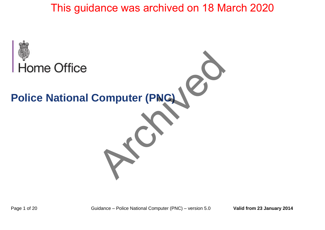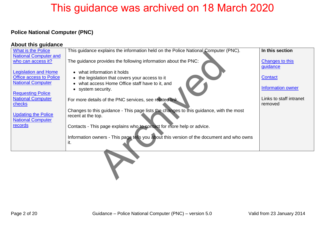### **Police National Computer (PNC)**

#### **About this guidance**

| What is the Police                                   | This guidance explains the information held on the Police National Computer (PNC).       | In this section         |
|------------------------------------------------------|------------------------------------------------------------------------------------------|-------------------------|
| <b>National Computer and</b>                         |                                                                                          |                         |
| who can access it?                                   | The guidance provides the following information about the PNC:                           | Changes to this         |
|                                                      |                                                                                          | guidance                |
| <b>Legislation and Home</b>                          | what information it holds                                                                |                         |
| <b>Office access to Police</b>                       | the legislation that covers your access to it                                            | Contact                 |
| <b>National Computer</b>                             | what access Home Office staff have to it, and                                            |                         |
|                                                      | • system security.                                                                       | Information owner       |
| <b>Requesting Police</b><br><b>National Computer</b> |                                                                                          | Links to staff intranet |
| checks                                               | For more details of the PNC services, see related link.                                  | removed                 |
|                                                      | Changes to this guidance - This page lists the changes to this guidance, with the most   |                         |
| <b>Updating the Police</b>                           | recent at the top.                                                                       |                         |
| <b>National Computer</b>                             |                                                                                          |                         |
| records                                              | Contacts - This page explains who to contact for more help or advice.                    |                         |
|                                                      |                                                                                          |                         |
|                                                      | Information owners - This page tells you about this version of the document and who owns |                         |
|                                                      | it.                                                                                      |                         |
|                                                      |                                                                                          |                         |
|                                                      |                                                                                          |                         |
|                                                      |                                                                                          |                         |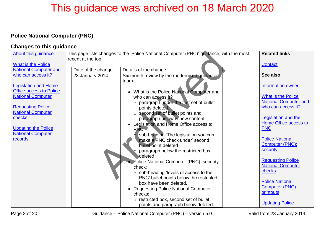### <span id="page-2-0"></span>**Police National Computer (PNC)**

#### **Changes to this guidance**

| About this guidance          | This page lists changes to the 'Police National Computer (PNC)' guidance, with the most | <b>Related links</b>                        |                              |
|------------------------------|-----------------------------------------------------------------------------------------|---------------------------------------------|------------------------------|
|                              | recent at the top.                                                                      |                                             |                              |
| <b>What is the Police</b>    |                                                                                         |                                             | <b>Contact</b>               |
| <b>National Computer and</b> | Date of the change                                                                      | Details of the change                       |                              |
| who can access it?           | 23 January 2014                                                                         | Six month review by the modernised guidance | See also                     |
| <b>Legislation and Home</b>  |                                                                                         | team:                                       | <b>Information owner</b>     |
| Office access to Police      |                                                                                         | • What is the Police National Computer and  |                              |
| <b>National Computer</b>     |                                                                                         | who can access it?                          | <b>What is the Police</b>    |
|                              |                                                                                         | o paragraph under the first set of bullet   | <b>National Computer and</b> |
| <b>Requesting Police</b>     |                                                                                         | points deleted.                             | who can access it?           |
| <b>National Computer</b>     |                                                                                         | o second set of bullet points and           |                              |
| checks                       |                                                                                         | paragraph below is new content.             | <b>Legislation and the</b>   |
|                              |                                                                                         | Legislation and Home Office access to       | Home Office access to        |
| <b>Updating the Police</b>   |                                                                                         | PNC:                                        | <b>PNC</b>                   |
| <b>National Computer</b>     |                                                                                         | sub-heading 'The legislation you can        |                              |
| records                      |                                                                                         | make a PNC check under' second              | <b>Police National</b>       |
|                              |                                                                                         | bullet point deleted                        | Computer (PNC):              |
|                              |                                                                                         | paragraph below the restricted box          | security                     |
|                              |                                                                                         | deleted.                                    |                              |
|                              |                                                                                         | Police National Computer (PNC): security    | <b>Requesting Police</b>     |
|                              |                                                                                         | check:                                      | <b>National Computer</b>     |
|                              |                                                                                         | o sub-heading 'levels of access to the      | checks                       |
|                              |                                                                                         | PNC' bullet points below the restricted     |                              |
|                              |                                                                                         | box have been deleted.                      | <b>Police National</b>       |
|                              |                                                                                         | • Requesting Police National Computer       | <b>Computer (PNC)</b>        |
|                              |                                                                                         | checks:                                     | printouts                    |
|                              |                                                                                         | o restricted box, second set of bullet      |                              |
|                              |                                                                                         | points and paragraph below deleted.         | <b>Updating Police</b>       |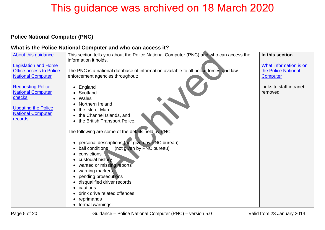### <span id="page-4-0"></span>**Police National Computer (PNC)**

#### **What is the Police National Computer and who can access it?**

| <b>About this guidance</b>     | This section tells you about the Police National Computer (PNC) and who can access the<br>information it holds. | In this section         |
|--------------------------------|-----------------------------------------------------------------------------------------------------------------|-------------------------|
| <b>Legislation and Home</b>    |                                                                                                                 | What information is on  |
| <b>Office access to Police</b> | The PNC is a national database of information available to all police forces and law                            | the Police National     |
| <b>National Computer</b>       | enforcement agencies throughout:                                                                                | <b>Computer</b>         |
| <b>Requesting Police</b>       | England                                                                                                         | Links to staff intranet |
| <b>National Computer</b>       | Scotland                                                                                                        | removed                 |
| checks                         | Wales                                                                                                           |                         |
|                                | Northern Ireland                                                                                                |                         |
| <b>Updating the Police</b>     | the Isle of Man                                                                                                 |                         |
| <b>National Computer</b>       | the Channel Islands, and<br>$\bullet$                                                                           |                         |
| records                        | the British Transport Police.                                                                                   |                         |
|                                | The following are some of the details held by PNC:                                                              |                         |
|                                | personal descriptions (not given by PNC bureau)                                                                 |                         |
|                                | (not given by PNC bureau)<br>bail conditions                                                                    |                         |
|                                | convictions                                                                                                     |                         |
|                                | custodial history                                                                                               |                         |
|                                | wanted or missing reports                                                                                       |                         |
|                                | warning markers                                                                                                 |                         |
|                                | pending prosecutions                                                                                            |                         |
|                                | disqualified driver records                                                                                     |                         |
|                                | cautions                                                                                                        |                         |
|                                | drink drive related offences                                                                                    |                         |
|                                | reprimands                                                                                                      |                         |
|                                | formal warnings.                                                                                                |                         |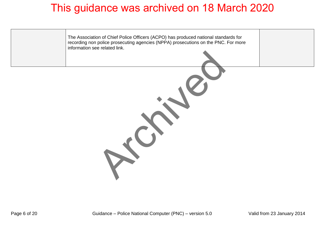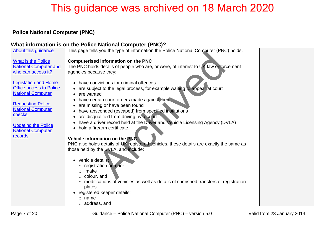### <span id="page-6-0"></span> **Police National Computer (PNC)**

#### **What information is on the Police National Computer (PNC)?**

| About this guidance            | This page tells you the type of information the Police National Computer (PNC) holds.                 |  |
|--------------------------------|-------------------------------------------------------------------------------------------------------|--|
|                                |                                                                                                       |  |
| <b>What is the Police</b>      | <b>Computerised information on the PNC</b>                                                            |  |
| <b>National Computer and</b>   | The PNC holds details of people who are, or were, of interest to UK law enforcement                   |  |
| who can access it?             | agencies because they:                                                                                |  |
|                                |                                                                                                       |  |
| <b>Legislation and Home</b>    | have convictions for criminal offences<br>$\bullet$                                                   |  |
| <b>Office access to Police</b> | are subject to the legal process, for example waiting to appear at court                              |  |
| <b>National Computer</b>       | are wanted<br>$\bullet$                                                                               |  |
|                                | have certain court orders made against them<br>$\bullet$                                              |  |
| <b>Requesting Police</b>       | are missing or have been found                                                                        |  |
| <b>National Computer</b>       | have absconded (escaped) from specified institutions                                                  |  |
| checks                         | are disqualified from driving by a court<br>$\bullet$                                                 |  |
| <b>Updating the Police</b>     | have a driver record held at the Driver and Vehicle Licensing Agency (DVLA)                           |  |
| <b>National Computer</b>       | hold a firearm certificate.<br>$\bullet$                                                              |  |
| records                        |                                                                                                       |  |
|                                | Vehicle information on the PNC                                                                        |  |
|                                | PNC also holds details of UK registered vehicles, these details are exactly the same as               |  |
|                                | those held by the DVLA, and include:                                                                  |  |
|                                |                                                                                                       |  |
|                                | vehicle details:                                                                                      |  |
|                                | o registration number                                                                                 |  |
|                                | make<br>$\Omega$                                                                                      |  |
|                                | $\circ$ colour, and                                                                                   |  |
|                                | $\circ$ modifications of vehicles as well as details of cherished transfers of registration<br>plates |  |
|                                |                                                                                                       |  |
|                                | registered keeper details:<br>$\circ$ name                                                            |  |
|                                |                                                                                                       |  |
|                                | $\circ$ address, and                                                                                  |  |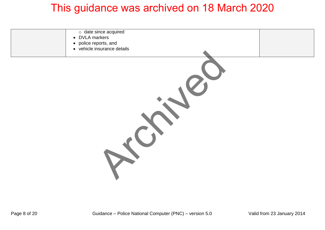| $\circ$ date since acquired<br>• DVLA markers<br>• police reports, and<br>• vehicle insurance details |  |
|-------------------------------------------------------------------------------------------------------|--|
|                                                                                                       |  |
|                                                                                                       |  |
|                                                                                                       |  |
|                                                                                                       |  |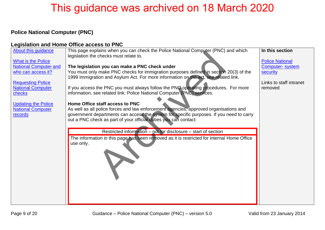### <span id="page-8-0"></span>**Police National Computer (PNC)**

#### **Legislation and Home Office access to PNC**

| About this guidance          | This page explains when you can check the Police National Computer (PNC) and which         | In this section         |
|------------------------------|--------------------------------------------------------------------------------------------|-------------------------|
|                              | legislation the checks must relate to.                                                     |                         |
| <b>What is the Police</b>    |                                                                                            | <b>Police National</b>  |
| <b>National Computer and</b> | The legislation you can make a PNC check under                                             | <b>Computer-system</b>  |
| who can access it?           | You must only make PNC checks for immigration purposes defined in section 20(3) of the     | security                |
|                              | 1999 Immigration and Asylum Act. For more information on the act, see related link.        |                         |
| <b>Requesting Police</b>     |                                                                                            | Links to staff intranet |
| <b>National Computer</b>     | If you access the PNC you must always follow the PNC operating procedures. For more        | removed                 |
| checks                       | information, see related link: Police National Computer (PNC) services.                    |                         |
|                              |                                                                                            |                         |
| <b>Updating the Police</b>   | Home Office staff access to PNC                                                            |                         |
| <b>National Computer</b>     | As well as all police forces and law enforcement agencies, approved organisations and      |                         |
| records                      | government departments can access the system for specific purposes. If you need to carry   |                         |
|                              | out a PNC check as part of your official duties you can contact:                           |                         |
|                              |                                                                                            |                         |
|                              | Restricted information – not for disclosure – start of section                             |                         |
|                              | The information in this page has been removed as it is restricted for internal Home Office |                         |
|                              | use only.                                                                                  |                         |
|                              |                                                                                            |                         |
|                              |                                                                                            |                         |
|                              |                                                                                            |                         |
|                              |                                                                                            |                         |
|                              |                                                                                            |                         |
|                              |                                                                                            |                         |
|                              |                                                                                            |                         |
|                              |                                                                                            |                         |
|                              |                                                                                            |                         |
|                              |                                                                                            |                         |
|                              |                                                                                            |                         |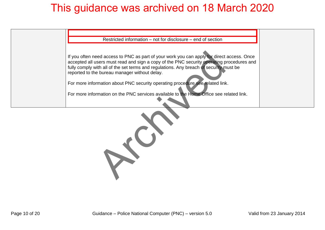

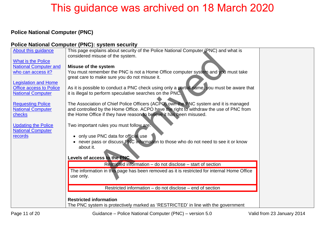### <span id="page-10-0"></span>**Police National Computer (PNC)**

### **Police National Computer (PNC): system security**

| About this guidance            | This page explains about security of the Police National Computer (PNC) and what is             |  |
|--------------------------------|-------------------------------------------------------------------------------------------------|--|
| <b>What is the Police</b>      | considered misuse of the system.                                                                |  |
| <b>National Computer and</b>   | <b>Misuse of the system</b>                                                                     |  |
| who can access it?             | You must remember the PNC is not a Home Office computer system and you must take                |  |
|                                | great care to make sure you do not misuse it.                                                   |  |
| <b>Legislation and Home</b>    |                                                                                                 |  |
| <b>Office access to Police</b> | As it is possible to conduct a PNC check using only a partial name, you must be aware that      |  |
| <b>National Computer</b>       | it is illegal to perform speculative searches on the PNC.                                       |  |
| <b>Requesting Police</b>       | The Association of Chief Police Officers (ACPO) own the PNC system and it is managed            |  |
| <b>National Computer</b>       | and controlled by the Home Office. ACPO have the right to withdraw the use of PNC from          |  |
| checks                         | the Home Office if they have reason to believe it has been misused.                             |  |
|                                |                                                                                                 |  |
| <b>Updating the Police</b>     | Two important rules you must follow are:                                                        |  |
| <b>National Computer</b>       |                                                                                                 |  |
| records                        | only use PNC data for official use                                                              |  |
|                                | • never pass or discuss PNC information to those who do not need to see it or know<br>about it. |  |
|                                |                                                                                                 |  |
|                                | Levels of access to the PNC.                                                                    |  |
|                                | Restricted information – do not disclose – start of section                                     |  |
|                                | The information in this page has been removed as it is restricted for internal Home Office      |  |
|                                | use only.                                                                                       |  |
|                                |                                                                                                 |  |
|                                | Restricted information – do not disclose – end of section                                       |  |
|                                |                                                                                                 |  |
|                                | <b>Restricted information</b>                                                                   |  |
|                                | The PNC system is protectively marked as 'RESTRICTED' in line with the government               |  |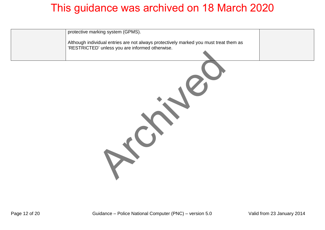| protective marking system (GPMS).<br>Although individual entries are not always protectively marked you must treat them as<br>'RESTRICTED' unless you are informed otherwise. |
|-------------------------------------------------------------------------------------------------------------------------------------------------------------------------------|
|                                                                                                                                                                               |
|                                                                                                                                                                               |
|                                                                                                                                                                               |
|                                                                                                                                                                               |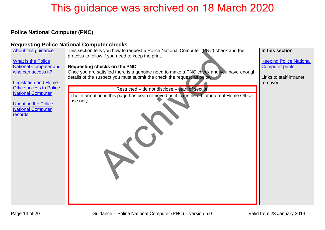### <span id="page-12-0"></span>**Police National Computer (PNC)**

#### **Requesting Police National Computer checks**

| About this guidance            | This section tells you how to request a Police National Computer (PNC) check and the       | In this section                |
|--------------------------------|--------------------------------------------------------------------------------------------|--------------------------------|
|                                | process to follow if you need to keep the print.                                           |                                |
| <b>What is the Police</b>      |                                                                                            | <b>Keeping Police National</b> |
| <b>National Computer and</b>   | <b>Requesting checks on the PNC</b>                                                        | <b>Computer prints</b>         |
| who can access it?             | Once you are satisfied there is a genuine need to make a PNC check and you have enough     |                                |
|                                | details of the suspect you must submit the check the request as below:                     | Links to staff intranet        |
| <b>Legislation and Home</b>    |                                                                                            | removed                        |
| <b>Office access to Police</b> | Restricted – do not disclose – start of section                                            |                                |
| <b>National Computer</b>       | The information in this page has been removed as it is restricted for internal Home Office |                                |
|                                | use only.                                                                                  |                                |
| <b>Updating the Police</b>     |                                                                                            |                                |
| <b>National Computer</b>       |                                                                                            |                                |
| records                        |                                                                                            |                                |
|                                |                                                                                            |                                |
|                                |                                                                                            |                                |
|                                |                                                                                            |                                |
|                                |                                                                                            |                                |
|                                |                                                                                            |                                |
|                                |                                                                                            |                                |
|                                |                                                                                            |                                |
|                                |                                                                                            |                                |
|                                |                                                                                            |                                |
|                                |                                                                                            |                                |
|                                |                                                                                            |                                |
|                                |                                                                                            |                                |
|                                |                                                                                            |                                |
|                                |                                                                                            |                                |
|                                |                                                                                            |                                |
|                                |                                                                                            |                                |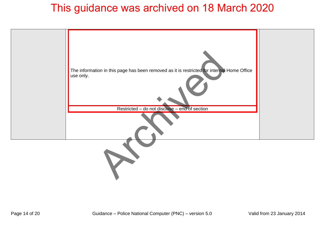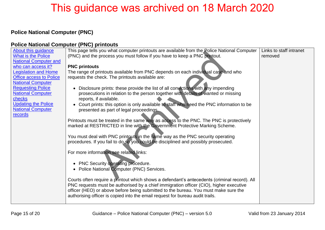### <span id="page-14-0"></span>**Police National Computer (PNC)**

#### **Police National Computer (PNC) printouts**

| About this guidance            | This page tells you what computer printouts are available from the Police National Computer  | Links to staff intranet |
|--------------------------------|----------------------------------------------------------------------------------------------|-------------------------|
| <b>What is the Police</b>      | (PNC) and the process you must follow if you have to keep a PNC printout.                    | removed                 |
| <b>National Computer and</b>   |                                                                                              |                         |
| who can access it?             | <b>PNC printouts</b>                                                                         |                         |
| <b>Legislation and Home</b>    | The range of printouts available from PNC depends on each individual case and who            |                         |
| <b>Office access to Police</b> | requests the check. The printouts available are:                                             |                         |
| <b>National Computer</b>       |                                                                                              |                         |
| <b>Requesting Police</b>       | Disclosure prints: these provide the list of all convictions with any impending              |                         |
| <b>National Computer</b>       | prosecutions in relation to the person together with details of wanted or missing            |                         |
| checks                         | reports, if available.                                                                       |                         |
| <b>Updating the Police</b>     | Court prints: this option is only available to staff who need the PNC information to be      |                         |
| <b>National Computer</b>       | presented as part of legal proceedings.                                                      |                         |
| records                        |                                                                                              |                         |
|                                | Printouts must be treated in the same way as access to the PNC. The PNC is protectively      |                         |
|                                | marked at RESTRICTED in line with the Government Protective Marking Scheme.                  |                         |
|                                |                                                                                              |                         |
|                                | You must deal with PNC printouts in the same way as the PNC security operating               |                         |
|                                | procedures. If you fail to do so you could be disciplined and possibly prosecuted.           |                         |
|                                |                                                                                              |                         |
|                                | For more information see related links:                                                      |                         |
|                                |                                                                                              |                         |
|                                | <b>PNC Security operating procedure.</b><br>$\bullet$                                        |                         |
|                                | • Police National Computer (PNC) Services.                                                   |                         |
|                                |                                                                                              |                         |
|                                | Courts often require a printout which shows a defendant's antecedents (criminal record). All |                         |
|                                | PNC requests must be authorised by a chief immigration officer (CIO), higher executive       |                         |
|                                | officer (HEO) or above before being submitted to the bureau. You must make sure the          |                         |
|                                | authorising officer is copied into the email request for bureau audit trails.                |                         |
|                                |                                                                                              |                         |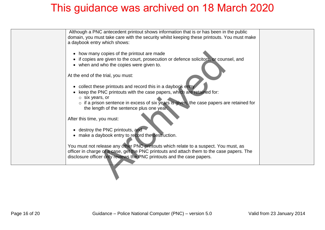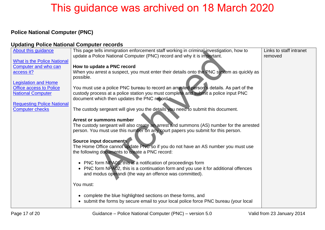### <span id="page-16-0"></span>**Police National Computer (PNC)**

#### **Updating Police National Computer records**

| About this guidance                                         | This page tells immigration enforcement staff working in criminal investigation, how to   | Links to staff intranet |
|-------------------------------------------------------------|-------------------------------------------------------------------------------------------|-------------------------|
|                                                             | update a Police National Computer (PNC) record and why it is important.                   | removed                 |
| <b>What is the Police National</b>                          |                                                                                           |                         |
| Computer and who can                                        | How to update a PNC record                                                                |                         |
| access it?                                                  | When you arrest a suspect, you must enter their details onto the PNC system as quickly as |                         |
|                                                             | possible.                                                                                 |                         |
| <b>Legislation and Home</b>                                 |                                                                                           |                         |
| <b>Office access to Police</b>                              | You must use a police PNC bureau to record an arrested person's details. As part of the   |                         |
| <b>National Computer</b>                                    | custody process at a police station you must complete and submit a police input PNC       |                         |
|                                                             | document which then updates the PNC record                                                |                         |
| <b>Requesting Police National</b><br><b>Computer checks</b> | The custody sergeant will give you the details you need to submit this document.          |                         |
|                                                             |                                                                                           |                         |
|                                                             | <b>Arrest or summons number</b>                                                           |                         |
|                                                             | The custody sergeant will also create an arrest and summons (AS) number for the arrested  |                         |
|                                                             | person. You must use this number on any court papers you submit for this person.          |                         |
|                                                             | Source input documents                                                                    |                         |
|                                                             | The Home Office cannot update PNC so if you do not have an AS number you must use         |                         |
|                                                             | the following documents to create a PNC record:                                           |                         |
|                                                             |                                                                                           |                         |
|                                                             | • PNC form NPA01, this is a notification of proceedings form                              |                         |
|                                                             | • PNC form NPA02, this is a continuation form and you use it for additional offences      |                         |
|                                                             | and modus operandi (the way an offence was committed).                                    |                         |
|                                                             |                                                                                           |                         |
|                                                             | You must:                                                                                 |                         |
|                                                             |                                                                                           |                         |
|                                                             | • complete the blue highlighted sections on these forms, and                              |                         |
|                                                             | • submit the forms by secure email to your local police force PNC bureau (your local      |                         |
|                                                             |                                                                                           |                         |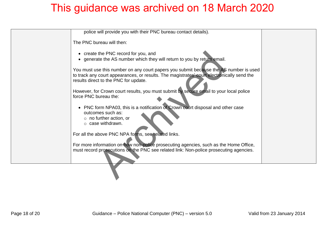| police will provide you with their PNC bureau contact details).                                                                                                                                                              |
|------------------------------------------------------------------------------------------------------------------------------------------------------------------------------------------------------------------------------|
| The PNC bureau will then:                                                                                                                                                                                                    |
| • create the PNC record for you, and<br>• generate the AS number which they will return to you by return email.                                                                                                              |
| You must use this number on any court papers you submit because the AS number is used<br>to track any court appearances, or results. The magistrates' court electronically send the<br>results direct to the PNC for update. |
| However, for Crown court results, you must submit by secure email to your local police<br>force PNC bureau the:                                                                                                              |
| • PNC form NPA03, this is a notification of Crown court disposal and other case<br>outcomes such as:<br>$\circ$ no further action, or<br>$\circ$ case withdrawn.                                                             |
| For all the above PNC NPA forms, see related links.                                                                                                                                                                          |
| For more information on how non-police prosecuting agencies, such as the Home Office,<br>must record prosecutions on the PNC see related link: Non-police prosecuting agencies.                                              |
|                                                                                                                                                                                                                              |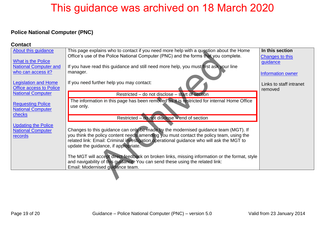#### <span id="page-18-0"></span>**Police National Computer (PNC)**

| <b>Contact</b>                     |                                                                                               |                         |
|------------------------------------|-----------------------------------------------------------------------------------------------|-------------------------|
| About this guidance                | This page explains who to contact if you need more help with a question about the Home        | In this section         |
|                                    | Office's use of the Police National Computer (PNC) and the forms that you complete.           | <b>Changes to this</b>  |
| <b>What is the Police</b>          |                                                                                               | guidance                |
| <b>National Computer and</b>       | If you have read this guidance and still need more help, you must first ask your line         |                         |
| who can access it?                 | manager.                                                                                      | Information owner       |
| <b>Legislation and Home</b>        | If you need further help you may contact:                                                     | Links to staff intranet |
| <b>Office access to Police</b>     |                                                                                               | removed                 |
| <b>National Computer</b>           | Restricted – do not disclose – start of section                                               |                         |
|                                    | The information in this page has been removed as it is restricted for internal Home Office    |                         |
| <b>Requesting Police</b>           | use only.                                                                                     |                         |
| <b>National Computer</b><br>checks |                                                                                               |                         |
|                                    | Restricted – do not disclose – end of section                                                 |                         |
| <b>Updating the Police</b>         |                                                                                               |                         |
| <b>National Computer</b>           | Changes to this guidance can only be made by the modernised guidance team (MGT). If           |                         |
| records                            | you think the policy content needs amending you must contact the policy team, using the       |                         |
|                                    | related link: Email: Criminal investigation operational guidance who will ask the MGT to      |                         |
|                                    | update the guidance, if appropriate.                                                          |                         |
|                                    |                                                                                               |                         |
|                                    | The MGT will accept direct feedback on broken links, missing information or the format, style |                         |
|                                    | and navigability of this guidance. You can send these using the related link:                 |                         |
|                                    | Email: Modernised guidance team.                                                              |                         |
|                                    |                                                                                               |                         |